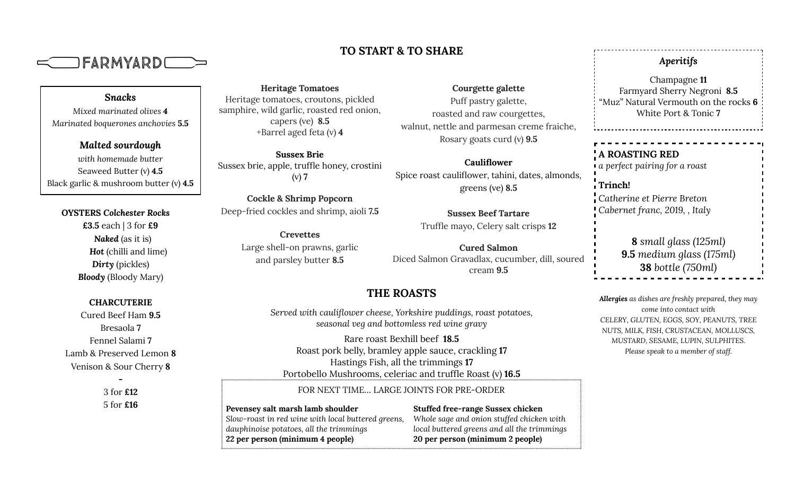

## **TO START & TO SHARE**

**Heritage Tomatoes** Heritage tomatoes, croutons, pickled samphire, wild garlic, roasted red onion, capers (ve) **8.5** +Barrel aged feta (v) **4**

**Sussex Brie** Sussex brie, apple, truffle honey, crostini (v) **7**

**Cockle & Shrimp Popcorn** Deep-fried cockles and shrimp, aioli **7.5**

**Crevettes** Large shell-on prawns, garlic and parsley butter **8.5**

**Courgette galette** Puff pastry galette, roasted and raw courgettes, walnut, nettle and parmesan creme fraiche, Rosary goats curd (v) **9.5**

**Cauliflower** Spice roast cauliflower, tahini, dates, almonds, greens (ve) **8.5**

> **Sussex Beef Tartare** Truffle mayo, Celery salt crisps **12**

**Cured Salmon** Diced Salmon Gravadlax, cucumber, dill, soured cream **9.5**

## **THE ROASTS**

*Served with cauliflower cheese, Yorkshire puddings, roast potatoes, seasonal veg and bottomless red wine gravy*

Rare roast Bexhill beef **18.5** Roast pork belly, bramley apple sauce, crackling **17** Hastings Fish, all the trimmings **17** Portobello Mushrooms, celeriac and truffle Roast (v) **16.5**

FOR NEXT TIME… LARGE JOINTS FOR PRE-ORDER

**Pevensey salt marsh lamb shoulder** *Slow-roast in red wine with local buttered greens, dauphinoise potatoes, all the trimmings* **22 per person (minimum 4 people)**

**Stuffed free-range Sussex chicken** *Whole sage and onion stuffed chicken with local buttered greens and all the trimmings* **20 per person (minimum 2 people)**

## *Aperitifs*

Champagne **11** Farmyard Sherry Negroni **8.5** "Muz" Natural Vermouth on the rocks **6** White Port & Tonic **7**

## **A ROASTING RED** *a perfect pairing for a roast*

**Trinch!** *Catherine et Pierre Breton Cabernet franc, 2019, , Italy*

> **8** *small glass (125ml)* **9.5** *medium glass (175ml)* **38** *bottle (750ml)*

*Allergies as dishes are freshly prepared, they may come into contact with CELERY, GLUTEN, EGGS, SOY, PEANUTS, TREE NUTS, MILK, FISH, CRUSTACEAN, MOLLUSCS, MUSTARD, SESAME, LUPIN, SULPHITES. Please speak to a member of staff.*

*Snacks Mixed marinated olives 4 Marinated boquerones anchovies* **5.5**

*Malted sourdough with homemade butter* Seaweed Butter (v) **4.5** Black garlic & mushroom butter (v) **4.5**

**OYSTERS** *Colchester Rocks*

**£3.5** each | 3 for **£9** *Naked* (as it is) *Hot* (chilli and lime) *Dirty* (pickles) *Bloody* (Bloody Mary)

**CHARCUTERIE**

Cured Beef Ham **9.5** Bresaola **7** Fennel Salami **7** Lamb & Preserved Lemon **8** Venison & Sour Cherry **8**

> 3 for **£12** 5 for **£16**

**-**